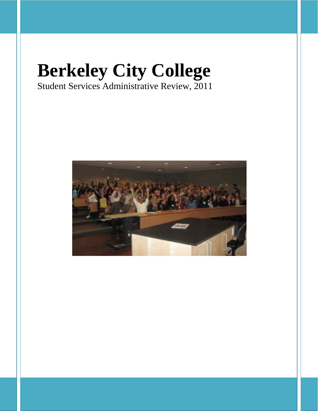# **Berkeley City College**  Student Services Administrative Review, 2011

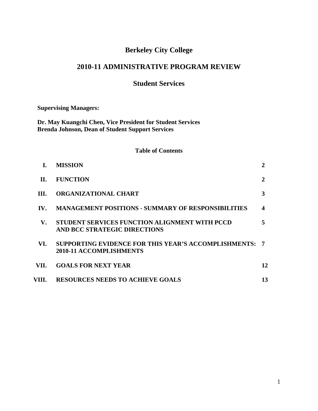# **Berkeley City College**

# **2010-11 ADMINISTRATIVE PROGRAM REVIEW**

# **Student Services**

**Supervising Managers:**

**Dr. May Kuangchi Chen, Vice President for Student Services Brenda Johnson, Dean of Student Support Services**

## **Table of Contents**

| L.                       | <b>MISSION</b>                                                                                  | $\overline{2}$ |
|--------------------------|-------------------------------------------------------------------------------------------------|----------------|
| H.                       | <b>FUNCTION</b>                                                                                 | $\mathbf{2}$   |
| HI.                      | <b>ORGANIZATIONAL CHART</b>                                                                     | 3              |
| $\mathbf{IV}_{\text{-}}$ | <b>MANAGEMENT POSITIONS - SUMMARY OF RESPONSIBILITIES</b>                                       | 4              |
| $\mathbf{V}_{\cdot}$     | <b>STUDENT SERVICES FUNCTION ALIGNMENT WITH PCCD</b><br>AND BCC STRATEGIC DIRECTIONS            | 5              |
| VI.                      | <b>SUPPORTING EVIDENCE FOR THIS YEAR'S ACCOMPLISHMENTS: 7</b><br><b>2010-11 ACCOMPLISHMENTS</b> |                |
| VII.                     | <b>GOALS FOR NEXT YEAR</b>                                                                      | 12             |
| VIII.                    | <b>RESOURCES NEEDS TO ACHIEVE GOALS</b>                                                         | 13             |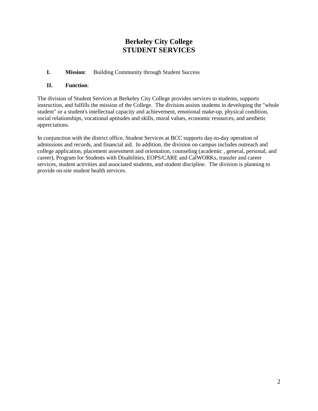# **Berkeley City College STUDENT SERVICES**

**I. Mission**: Building Community through Student Success

# **II. Function**:

The division of Student Services at Berkeley City College provides services to students, supports instruction, and fulfills the mission of the College. The division assists students in developing the "whole student" or a student's intellectual capacity and achievement, emotional make-up, physical condition, social relationships, vocational aptitudes and skills, moral values, economic resources, and aesthetic appreciations.

In conjunction with the district office, Student Services at BCC supports day-to-day operation of admissions and records, and financial aid. In addition, the division on campus includes outreach and college application, placement assessment and orientation, counseling (academic , general, personal, and career), Program for Students with Disabilities, EOPS/CARE and CalWORKs, transfer and career services, student activities and associated students, and student discipline. The division is planning to provide on-site student health services.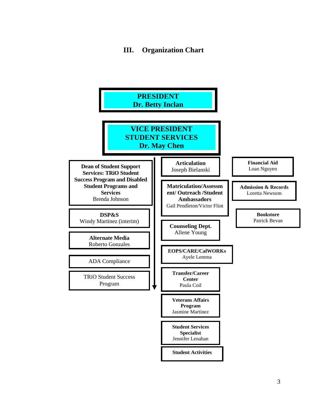# **III. Organization Chart**

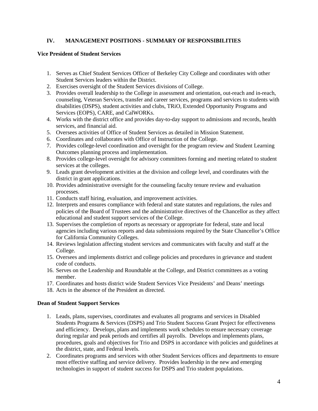# **IV. MANAGEMENT POSITIONS - SUMMARY OF RESPONSIBILITIES**

#### **Vice President of Student Services**

- 1. Serves as Chief Student Services Officer of Berkeley City College and coordinates with other Student Services leaders within the District.
- 2. Exercises oversight of the Student Services divisions of College.
- 3. Provides overall leadership to the College in assessment and orientation, out-reach and in-reach, counseling, Veteran Services, transfer and career services, programs and services to students with disabilities (DSPS), student activities and clubs, TRiO, Extended Opportunity Programs and Services (EOPS), CARE, and CalWORKs.
- 4. Works with the district office and provides day-to-day support to admissions and records, health services, and financial aid.
- 5. Oversees activities of Office of Student Services as detailed in Mission Statement.
- 6. Coordinates and collaborates with Office of Instruction of the College.
- 7. Provides college-level coordination and oversight for the program review and Student Learning Outcomes planning process and implementation.
- 8. Provides college-level oversight for advisory committees forming and meeting related to student services at the colleges.
- 9. Leads grant development activities at the division and college level, and coordinates with the district in grant applications.
- 10. Provides administrative oversight for the counseling faculty tenure review and evaluation processes.
- 11. Conducts staff hiring, evaluation, and improvement activities.
- 12. Interprets and ensures compliance with federal and state statutes and regulations, the rules and policies of the Board of Trustees and the administrative directives of the Chancellor as they affect educational and student support services of the College.
- 13. Supervises the completion of reports as necessary or appropriate for federal, state and local agencies including various reports and data submissions required by the State Chancellor's Office for California Community Colleges.
- 14. Reviews legislation affecting student services and communicates with faculty and staff at the College.
- 15. Oversees and implements district and college policies and procedures in grievance and student code of conducts.
- 16. Serves on the Leadership and Roundtable at the College, and District committees as a voting member.
- 17. Coordinates and hosts district wide Student Services Vice Presidents' and Deans' meetings
- 18. Acts in the absence of the President as directed.

## **Dean of Student Support Services**

- 1. Leads, plans, supervises, coordinates and evaluates all programs and services i[n Disabled](http://www.cccco.edu/LinkClick.aspx?link=616&tabid=645)  [Students Programs & Services \(DSPS\) and Trio Student Success Grant Project f](http://www.cccco.edu/LinkClick.aspx?link=616&tabid=645)or effectiveness and efficiency. Develops, plans and implements work schedules to ensure necessary coverage during regular and peak periods and certifies all payrolls. Develops and implements plans, procedures, goals and objectives for Trio and DSPS in accordance with policies and guidelines at the district, state, and Federal levels.
- 2. Coordinates programs and services with other Student Services offices and departments to ensure most effective staffing and service delivery. Provides leadership in the new and emerging technologies in support of student success for DSPS and Trio student populations.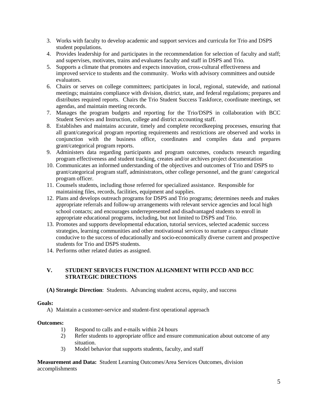- 3. Works with faculty to develop academic and support services and curricula for Trio and DSPS student populations.
- 4. Provides leadership for and participates in the recommendation for selection of faculty and staff; and supervises, motivates, trains and evaluates faculty and staff in DSPS and Trio.
- 5. Supports a climate that promotes and expects innovation, cross-cultural effectiveness and improved service to students and the community. Works with advisory committees and outside evaluators.
- 6. Chairs or serves on college committees; participates in local, regional, statewide, and national meetings; maintains compliance with division, district, state, and federal regulations; prepares and distributes required reports. Chairs the Trio Student Success Taskforce, coordinate meetings, set agendas, and maintain meeting records.
- 7. Manages the program budgets and reporting for the Trio/DSPS in collaboration with BCC Student Services and Instruction, college and district accounting staff.
- 8. Establishes and maintains accurate, timely and complete recordkeeping processes, ensuring that all grant/categorical program reporting requirements and restrictions are observed and works in conjunction with the business office, coordinates and compiles data and prepares grant/categorical program reports.
- 9. Administers data regarding participants and program outcomes, conducts research regarding program effectiveness and student tracking, creates and/or archives project documentation
- 10. Communicates an informed understanding of the objectives and outcomes of Trio and DSPS to grant/categorical program staff, administrators, other college personnel, and the grant/ categorical program officer.
- 11. Counsels students, including those referred for specialized assistance. Responsible for maintaining files, records, facilities, equipment and supplies.
- 12. Plans and develops outreach programs for DSPS and Trio programs; determines needs and makes appropriate referrals and follow-up arrangements with relevant service agencies and local high school contacts; and encourages underrepresented and disadvantaged students to enroll in appropriate educational programs, including, but not limited to DSPS and Trio.
- 13. Promotes and supports developmental education, tutorial services, selected academic success strategies, learning communities and other motivational services to nurture a campus climate conducive to the success of educationally and socio-economically diverse current and prospective students for Trio and DSPS students.
- 14. Performs other related duties as assigned.

# **V. STUDENT SERVICES FUNCTION ALIGNMENT WITH PCCD AND BCC STRATEGIC DIRECTIONS**

# **(A) Strategic Direction**: Students. Advancing student access, equity, and success

## **Goals:**

A) Maintain a customer-service and student-first operational approach

# **Outcomes:**

- 1) Respond to calls and e-mails within 24 hours
- 2) Refer students to appropriate office and ensure communication about outcome of any situation.
- 3) Model behavior that supports students, faculty, and staff

**Measurement and Data:** Student Learning Outcomes/Area Services Outcomes, division accomplishments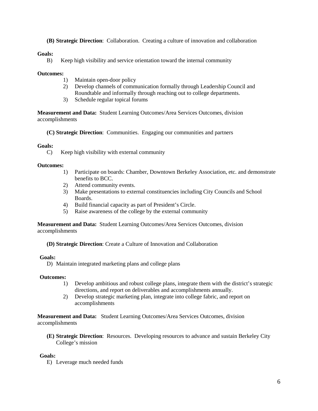**(B) Strategic Direction**: Collaboration. Creating a culture of innovation and collaboration

#### **Goals:**

B) Keep high visibility and service orientation toward the internal community

#### **Outcomes:**

- 1) Maintain open-door policy
- 2) Develop channels of communication formally through Leadership Council and Roundtable and informally through reaching out to college departments.
- 3) Schedule regular topical forums

**Measurement and Data:** Student Learning Outcomes/Area Services Outcomes, division accomplishments

**(C) Strategic Direction**: Communities. Engaging our communities and partners

#### **Goals:**

C) Keep high visibility with external community

#### **Outcomes:**

- 1) Participate on boards: Chamber, Downtown Berkeley Association, etc. and demonstrate benefits to BCC.
- 2) Attend community events.
- 3) Make presentations to external constituencies including City Councils and School Boards.
- 4) Build financial capacity as part of President's Circle.
- 5) Raise awareness of the college by the external community

**Measurement and Data:** Student Learning Outcomes/Area Services Outcomes, division accomplishments

**(D) Strategic Direction**: Create a Culture of Innovation and Collaboration

#### **Goals:**

D) Maintain integrated marketing plans and college plans

#### **Outcomes:**

- 1) Develop ambitious and robust college plans, integrate them with the district's strategic directions, and report on deliverables and accomplishments annually.
- 2) Develop strategic marketing plan, integrate into college fabric, and report on accomplishments

**Measurement and Data:** Student Learning Outcomes/Area Services Outcomes, division accomplishments

**(E) Strategic Direction**: Resources. Developing resources to advance and sustain Berkeley City College's mission

#### **Goals:**

E) Leverage much needed funds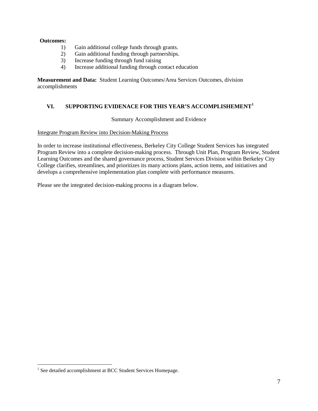## **Outcomes:**

- 1) Gain additional college funds through grants.
- 2) Gain additional funding through partnerships.
- 3) Increase funding through fund raising
- 4) Increase additional funding through contact education

**Measurement and Data:** Student Learning Outcomes/Area Services Outcomes, division accomplishments

# **VI. SUPPORTING EVIDENACE FOR THIS YEAR'S ACCOMPLISHEMENT[1](#page-7-0)**

Summary Accomplishment and Evidence

#### Integrate Program Review into Decision-Making Process

In order to increase institutional effectiveness, Berkeley City College Student Services has integrated Program Review into a complete decision-making process. Through Unit Plan, Program Review, Student Learning Outcomes and the shared governance process, Student Services Division within Berkeley City College clarifies, streamlines, and prioritizes its many actions plans, action items, and initiatives and develops a comprehensive implementation plan complete with performance measures.

Please see the integrated decision-making process in a diagram below.

<span id="page-7-0"></span><sup>&</sup>lt;sup>1</sup> See detailed accomplishment at BCC Student Services Homepage.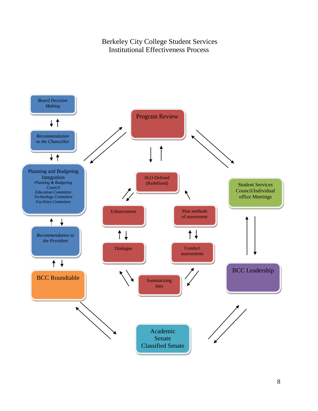Berkeley City College Student Services Institutional Effectiveness Process

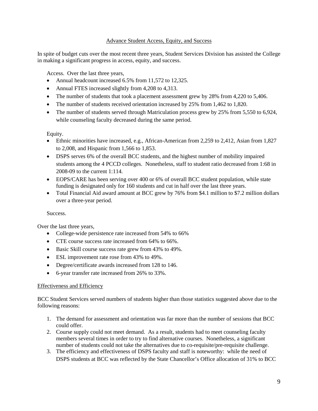## Advance Student Access, Equity, and Success

In spite of budget cuts over the most recent three years, Student Services Division has assisted the College in making a significant progress in access, equity, and success.

Access. Over the last three years,

- Annual headcount increased 6.5% from 11,572 to 12,325.
- Annual FTES increased slightly from 4,208 to 4,313.
- The number of students that took a placement assessment grew by 28% from 4,220 to 5,406.
- The number of students received orientation increased by 25% from 1,462 to 1,820.
- The number of students served through Matriculation process grew by 25% from 5,550 to 6,924, while counseling faculty decreased during the same period.

Equity.

- Ethnic minorities have increased, e.g., African-American from 2,259 to 2,412, Asian from 1,827 to 2,008, and Hispanic from 1,566 to 1,853.
- DSPS serves 6% of the overall BCC students, and the highest number of mobility impaired students among the 4 PCCD colleges. Nonetheless, staff to student ratio decreased from 1:68 in 2008-09 to the current 1:114.
- EOPS/CARE has been serving over 400 or 6% of overall BCC student population, while state funding is designated only for 160 students and cut in half over the last three years.
- Total Financial Aid award amount at BCC grew by 76% from \$4.1 million to \$7.2 million dollars over a three-year period.

Success.

Over the last three years,

- College-wide persistence rate increased from 54% to 66%
- CTE course success rate increased from 64% to 66%.
- Basic Skill course success rate grew from 43% to 49%.
- ESL improvement rate rose from 43% to 49%.
- Degree/certificate awards increased from 128 to 146.
- 6-year transfer rate increased from 26% to 33%.

## Effectiveness and Efficiency

BCC Student Services served numbers of students higher than those statistics suggested above due to the following reasons:

- 1. The demand for assessment and orientation was far more than the number of sessions that BCC could offer.
- 2. Course supply could not meet demand. As a result, students had to meet counseling faculty members several times in order to try to find alternative courses. Nonetheless, a significant number of students could not take the alternatives due to co-requisite/pre-requisite challenge.
- 3. The efficiency and effectiveness of DSPS faculty and staff is noteworthy: while the need of DSPS students at BCC was reflected by the State Chancellor's Office allocation of 31% to BCC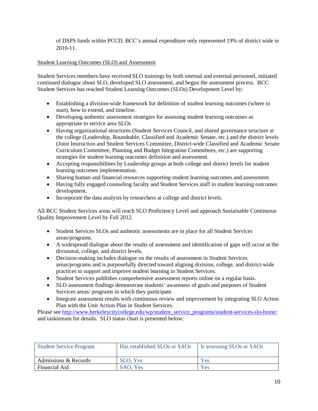of DSPS funds within PCCD, BCC's annual expenditure only represented 19% of district wide in 2010-11.

# Student Learning Outcomes (SLO) and Assessment

Student Services members have received SLO trainings by both internal and external personnel, initiated continued dialogue about SLO, developed SLO assessment, and begun the assessment process. BCC Student Services has reached Student Learning Outcomes (SLOs) Development Level by:

- Establishing a division-wide framework for definition of student learning outcomes (where to start), how to extend, and timeline.
- Developing authentic assessment strategies for assessing student learning outcomes as appropriate to service area SLOs
- Having organizational structures (Student Services Council, and shared governance structure at the college (Leadership, Roundtable, Classified and Academic Senate, etc.) and the district levels (Joint Instruction and Student Services Committee, District-wide Classified and Academic Senate Curriculum Committee, Planning and Budget Integration Committees, etc.) are supporting strategies for student learning outcomes definition and assessment.
- Accepting responsibilities by Leadership groups at both college and district levels for student learning outcomes implementation.
- Sharing human and financial resources supporting student learning outcomes and assessment.
- Having fully engaged counseling faculty and Student Services staff in student learning outcomes development.
- Incorporate the data analysis by researchers at college and district levels.

All BCC Student Services areas will reach SLO Proficiency Level and approach Sustainable Continuous Quality Improvement Level by Fall 2012.

- Student Services SLOs and authentic assessments are in place for all Student Services areas/programs.
- A widespread dialogue about the results of assessment and identification of gaps will occur at the divisional, college, and district levels.
- Decision-making includes dialogue on the results of assessment in Student Services areas/programs and is purposefully directed toward aligning division, college, and district-wide practices to support and improve student learning in Student Services.
- Student Services publishes comprehensive assessment reports online on a regular basis.
- SLO assessment findings demonstrate students' awareness of goals and purposes of Student Services areas/ programs in which they participate.
- Integrate assessment results with continuous review and improvement by integrating SLO Action Plan with the Unit Action Plan in Student Services.

Please se[e http://www.berkeleycitycollege.edu/wp/student\\_service\\_programs/student-services-slo-home/](http://www.berkeleycitycollege.edu/wp/student_service_programs/student-services-slo-home/) and taskstream for details. SLO status chart is presented below:

| <b>Student Service Program</b> | Has established SLOs or SAOs | Is assessing SLOs or SAOs |
|--------------------------------|------------------------------|---------------------------|
| Admissions & Records           | SLO, Yes                     | Yes                       |
| Financial Aid                  | SAO, Yes                     | Yes                       |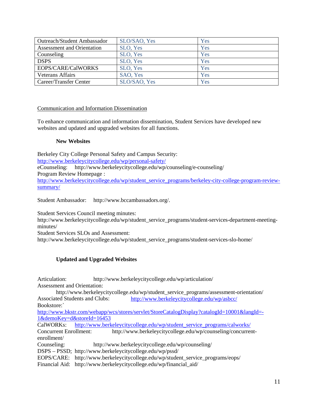| <b>Outreach/Student Ambassador</b> | SLO/SAO, Yes | Yes |
|------------------------------------|--------------|-----|
| Assessment and Orientation         | SLO, Yes     | Yes |
| Counseling                         | SLO, Yes     | Yes |
| <b>DSPS</b>                        | SLO, Yes     | Yes |
| EOPS/CARE/CalWORKS                 | SLO, Yes     | Yes |
| <b>Veterans Affairs</b>            | SAO, Yes     | Yes |
| Career/Transfer Center             | SLO/SAO, Yes | Yes |

# Communication and Information Dissemination

To enhance communication and information dissemination, Student Services have developed new websites and updated and upgraded websites for all functions.

# **New Websites**

Berkeley City College Personal Safety and Campus Security: <http://www.berkeleycitycollege.edu/wp/personal-safety/> eCounseling: http://www.berkeleycitycollege.edu/wp/counseling/e-counseling/ Program Review Homepage : [http://www.berkeleycitycollege.edu/wp/student\\_service\\_programs/berkeley-city-college-program-review](http://www.berkeleycitycollege.edu/wp/student_service_programs/berkeley-city-college-program-review-summary/)[summary/](http://www.berkeleycitycollege.edu/wp/student_service_programs/berkeley-city-college-program-review-summary/)

Student Ambassador: http://www.bccambassadors.org/.

Student Services Council meeting minutes:

http://www.berkeleycitycollege.edu/wp/student\_service\_programs/student-services-department-meetingminutes/

Student Services SLOs and Assessment:

http://www.berkeleycitycollege.edu/wp/student\_service\_programs/student-services-slo-home/

## **Updated and Upgraded Websites**

| Articulation:               | http://www.berkeleycitycollege.edu/wp/articulation/ |  |  |  |  |
|-----------------------------|-----------------------------------------------------|--|--|--|--|
| Assessment and Orientation: |                                                     |  |  |  |  |

http://www.berkeleycitycollege.edu/wp/student\_service\_programs/assessment-orientation/<br>Associated Students and Clubs: http://www.berkeleycitycollege.edu/wp/asbcc/ <http://www.berkeleycitycollege.edu/wp/asbcc/> Bookstore:`

[http://www.bkstr.com/webapp/wcs/stores/servlet/StoreCatalogDisplay?catalogId=10001&langId=-](http://www.bkstr.com/webapp/wcs/stores/servlet/StoreCatalogDisplay?catalogId=10001&langId=-1&demoKey=d&storeId=16453) [1&demoKey=d&storeId=16453](http://www.bkstr.com/webapp/wcs/stores/servlet/StoreCatalogDisplay?catalogId=10001&langId=-1&demoKey=d&storeId=16453)

CalWORKs: [http://www.berkeleycitycollege.edu/wp/student\\_service\\_programs/calworks/](http://www.berkeleycitycollege.edu/wp/student_service_programs/calworks/)

Concurrent Enrollment: http://www.berkeleycitycollege.edu/wp/counseling/concurrentenrollment/

Counseling: http://www.berkeleycitycollege.edu/wp/counseling/

DSPS – PSSD; http://www.berkeleycitycollege.edu/wp/pssd/

EOPS/CARE: http://www.berkeleycitycollege.edu/wp/student\_service\_programs/eops/

Financial Aid: http://www.berkeleycitycollege.edu/wp/financial\_aid/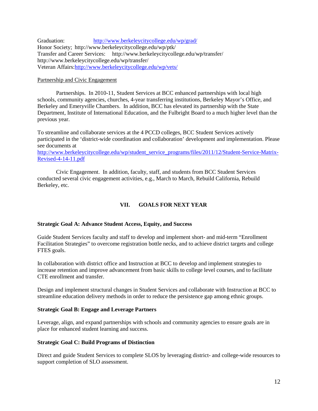Graduation: <http://www.berkeleycitycollege.edu/wp/grad/> Honor Society; http://www.berkeleycitycollege.edu/wp/ptk/ Transfer and Career Services: http://www.berkeleycitycollege.edu/wp/transfer/ http://www.berkeleycitycollege.edu/wp/transfer/ Veteran Affairs[:http://www.berkeleycitycollege.edu/wp/vets/](http://www.berkeleycitycollege.edu/wp/vets/)

## Partnership and Civic Engagement

Partnerships. In 2010-11, Student Services at BCC enhanced partnerships with local high schools, community agencies, churches, 4-year transferring institutions, Berkeley Mayor's Office, and Berkeley and Emeryville Chambers. In addition, BCC has elevated its partnership with the State Department, Institute of International Education, and the Fulbright Board to a much higher level than the previous year.

To streamline and collaborate services at the 4 PCCD colleges, BCC Student Services actively participated in the 'district-wide coordination and collaboration' development and implementation. Please see documents at

[http://www.berkeleycitycollege.edu/wp/student\\_service\\_programs/files/2011/12/Student-Service-Matrix-](http://www.berkeleycitycollege.edu/wp/student_service_programs/files/2011/12/Student-Service-Matrix-Revised-4-14-11.pdf)[Revised-4-14-11.pdf](http://www.berkeleycitycollege.edu/wp/student_service_programs/files/2011/12/Student-Service-Matrix-Revised-4-14-11.pdf)

Civic Engagement. In addition, faculty, staff, and students from BCC Student Services conducted several civic engagement activities, e.g., March to March, Rebuild California, Rebuild Berkeley, etc.

# **VII. GOALS FOR NEXT YEAR**

## **Strategic Goal A: Advance Student Access, Equity, and Success**

Guide Student Services faculty and staff to develop and implement short- and mid-term "Enrollment Facilitation Strategies" to overcome registration bottle necks, and to achieve district targets and college FTES goals.

In collaboration with district office and Instruction at BCC to develop and implement strategies to increase retention and improve advancement from basic skills to college level courses, and to facilitate CTE enrollment and transfer.

Design and implement structural changes in Student Services and collaborate with Instruction at BCC to streamline education delivery methods in order to reduce the persistence gap among ethnic groups.

## **Strategic Goal B: Engage and Leverage Partners**

Leverage, align, and expand partnerships with schools and community agencies to ensure goals are in place for enhanced student learning and success.

## **Strategic Goal C: Build Programs of Distinction**

Direct and guide Student Services to complete SLOS by leveraging district- and college-wide resources to support completion of SLO assessment.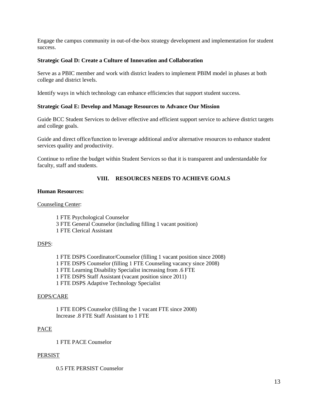Engage the campus community in out-of-the-box strategy development and implementation for student success.

#### **Strategic Goal D: Create a Culture of Innovation and Collaboration**

Serve as a PBIC member and work with district leaders to implement PBIM model in phases at both college and district levels.

Identify ways in which technology can enhance efficiencies that support student success.

#### **Strategic Goal E: Develop and Manage Resources to Advance Our Mission**

Guide BCC Student Services to deliver effective and efficient support service to achieve district targets and college goals.

Guide and direct office/function to leverage additional and/or alternative resources to enhance student services quality and productivity.

Continue to refine the budget within Student Services so that it is transparent and understandable for faculty, staff and students.

## **VIII. RESOURCES NEEDS TO ACHIEVE GOALS**

## **Human Resources:**

Counseling Center:

1 FTE Psychological Counselor 3 FTE General Counselor (including filling 1 vacant position) 1 FTE Clerical Assistant

#### DSPS:

1 FTE DSPS Coordinator/Counselor (filling 1 vacant position since 2008) 1 FTE DSPS Counselor (filling 1 FTE Counseling vacancy since 2008) 1 FTE Learning Disability Specialist increasing from .6 FTE 1 FTE DSPS Staff Assistant (vacant position since 2011) 1 FTE DSPS Adaptive Technology Specialist

#### EOPS/CARE

1 FTE EOPS Counselor (filling the 1 vacant FTE since 2008) Increase .8 FTE Staff Assistant to 1 FTE

## PACE

1 FTE PACE Counselor

#### PERSIST

0.5 FTE PERSIST Counselor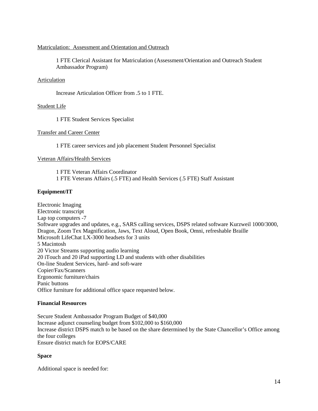## Matriculation: Assessment and Orientation and Outreach

1 FTE Clerical Assistant for Matriculation (Assessment/Orientation and Outreach Student Ambassador Program)

## Articulation

Increase Articulation Officer from .5 to 1 FTE.

## Student Life

1 FTE Student Services Specialist

#### Transfer and Career Center

1 FTE career services and job placement Student Personnel Specialist

#### Veteran Affairs/Health Services

1 FTE Veteran Affairs Coordinator 1 FTE Veterans Affairs (.5 FTE) and Health Services (.5 FTE) Staff Assistant

## **Equipment/IT**

Electronic Imaging Electronic transcript Lap top computers -7 Software upgrades and updates, e.g., SARS calling services, DSPS related software Kurzweil 1000/3000, Dragon, Zoom Tex Magnification, Jaws, Text Aloud, Open Book, Omni, refreshable Braille Microsoft LifeChat LX-3000 headsets for 3 units 5 Macintosh 20 Victor Streams supporting audio learning 20 iTouch and 20 iPad supporting LD and students with other disabilities On-line Student Services, hard- and soft-ware Copier/Fax/Scanners Ergonomic furniture/chairs Panic buttons Office furniture for additional office space requested below.

## **Financial Resources**

Secure Student Ambassador Program Budget of \$40,000 Increase adjunct counseling budget from \$102,000 to \$160,000 Increase district DSPS match to be based on the share determined by the State Chancellor's Office among the four colleges Ensure district match for EOPS/CARE

## **Space**

Additional space is needed for: